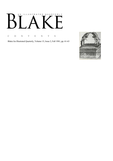# AN ILLUSTRATED QUARTERLY К  $\mathbf{L}$

C O N T E N T S

Blake/An Illustrated Quarterly, Volume 15, Issue 2, Fall 1981, pp. 61-63

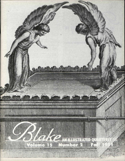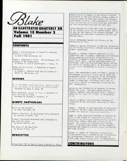

# Volume 15 Number 2 Fall 1981

#### CONTENTS

Blake's Transformations of Ezekiel's Cherubim Vision in *Jerusalem* by David Sten Herrstrom, 64

Blake's "Canterbury" Print: The Posthumous Pilgrimage of the Copperplate by Robert N. Essick and Michael C. Young, 78

Blake and His Circle: A Checklist of Recent Scholarship

by Thomas L. Minnick with the assistance of Detlef W. Dörrbecker, 83

#### REVIEWS

B. H. Fairchild, *Such Holy Song: Music as Idea, Form, and Image in the Poetry of William Blake*  Reviewed by James A. Winn, 94

Mike Westbrook, *Bright As Fire,* a recording of jazz settings of Blake Reviewed by Anthony J. Harding, 97

#### MINUTE PARTICULARS

Music of the Ancients by Peter Davidson, 98

Blake's Insanity: An Unrecorded Early Reference by Jenijoy La Belle, 100

A Newly Discovered Watermark and a Visionary' s Way with His Dates by Martin Butlin, 101

The Shock of the New Blake by Nelson Hilton, 103

#### NEWSLETTER

©Copyright 1981 by Morris Eaves & Morton D. Paley

MARTIN BUTLIN is Keeper of the Historic British Collection at the Tate Gallery, London, author of numerous works on Blake and Turner, and freguent contributor to *Blake.* His catalogue of *The Paintings and Drawings of William Blake* was published by Yale University Press earlier this year.

PETER DAVIDSON is a Scot who 1ives in Cambridge. He has edited *Letters* by Sir Kenelm Digby, and is at work on the Poems of Sir Richard Fanshawe. His amusements are *very* much "Literature and Art and Ancient Music."

DETLEF DORRBECKER teaches art history at the University of Trier.

ROBERT N. ESSICK (Professor of English, University of California, Riverside) collects and writes about Blake's engravings.

ANTHONY j. HARDING recently spent part of his sabbatical *year* in London, Cambridge and Edinburgh doing research on biblical inspiration in its relation to Romantic poetics, and attending concerts after hours. He has published papers on Coleridge, John Sterling and James Marsh, and has an article on Thoreau and H. N. Coleridge's *Greek Classic Poets* forthcoming in *Studies in Romanticism.* 

DAVID STEN HERRSTROM'S essay on Blake's Laocoön is forthcoming in *Bucknell Review* and on Blake and eighteenth-century discussions of the hieroglyph in *Blake Studies.* His poems have appeared in a number of magazines, including *Nimrod* and *US1 Worksheets,* and he is consultant in writing for Bell Laboratories.

NELSON HILTON (University of Gerogia) is Review Editor for *Blake.* His most recent article, "Spears, Spheres, and Spiritual Tears: Blake's Poetry as *The Tyger* 11. 17-20," is forthcoming in *PQ.* 

JENIJOY LA BELLE is an Associate Professor of Literature at the California Institute of Technology.

THOMAS L. MINNICK IS Assistant Dean of University College at The Ohio State University and Bibliographer for *Blake/An Illustrated Quarterly.* 

JAMES A. WINN, Associate Professor of English at Yale, is the author of *Unsuspected Eloquence: A History of the Relat*  (Yale Univ. Press, 1 *Bosom: The Letters*  1977). A serious flute player, he has recently recorded two Couperin *Concerts Royaux* for Musical Heritage Society. *ions between Poetry and Music*  981) and *A Window in the of Alexander Pope* (Archon,

MICHAEL C. YOUNG, an instructor in English at Tulane University, is completing her dissertation on confessional literature from Rousseau to Freud under Stuart Curran, Univ. of Pennsylvania

## CONTRIBUTORS